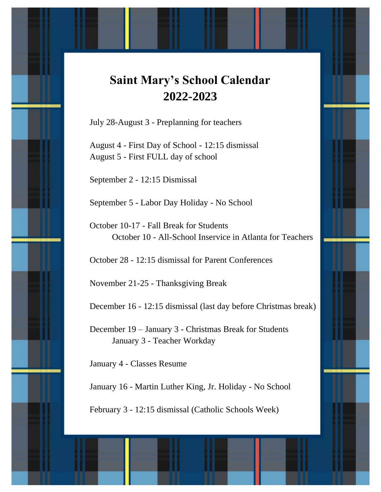## **Saint Mary's School Calendar 2022-2023**

July 28-August 3 - Preplanning for teachers

August 4 - First Day of School - 12:15 dismissal August 5 - First FULL day of school

September 2 - 12:15 Dismissal

September 5 - Labor Day Holiday - No School

October 10-17 - Fall Break for Students October 10 - All-School Inservice in Atlanta for Teachers

October 28 - 12:15 dismissal for Parent Conferences

November 21-25 - Thanksgiving Break

December 16 - 12:15 dismissal (last day before Christmas break)

December 19 – January 3 - Christmas Break for Students January 3 - Teacher Workday

January 4 - Classes Resume

January 16 - Martin Luther King, Jr. Holiday - No School

February 3 - 12:15 dismissal (Catholic Schools Week)